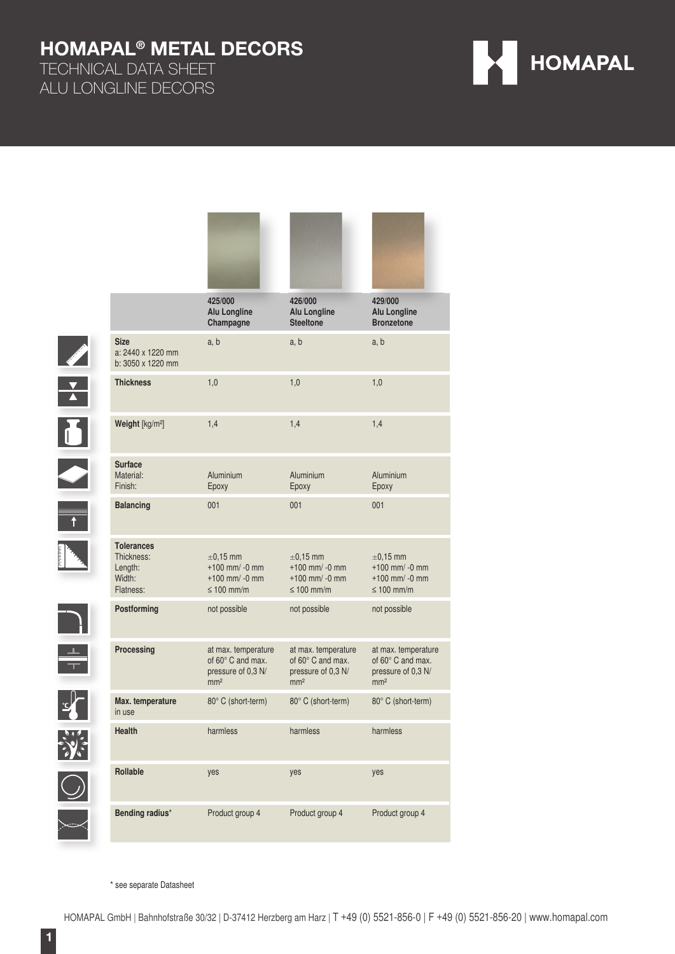TECHNICAL DATA SHEET ALU LONGLINE DECORS



|                         |                                                                   | 425/000<br><b>Alu Longline</b><br>Champagne                                       | 426/000<br><b>Alu Longline</b><br><b>Steeltone</b>                                | 429/000<br><b>Alu Longline</b><br><b>Bronzetone</b>                               |
|-------------------------|-------------------------------------------------------------------|-----------------------------------------------------------------------------------|-----------------------------------------------------------------------------------|-----------------------------------------------------------------------------------|
|                         | <b>Size</b><br>a: 2440 x 1220 mm<br>b: 3050 x 1220 mm             | a, b                                                                              | a, b                                                                              | a, b                                                                              |
| $\frac{1}{\sqrt{2}}$    | <b>Thickness</b>                                                  | 1,0                                                                               | 1,0                                                                               | 1,0                                                                               |
| $\overline{\mathbf{p}}$ | Weight [kg/m <sup>2</sup> ]                                       | 1,4                                                                               | 1,4                                                                               | 1,4                                                                               |
|                         | <b>Surface</b><br>Material:<br>Finish:                            | Aluminium<br>Epoxy                                                                | Aluminium<br>Epoxy                                                                | Aluminium<br>Epoxy                                                                |
| $\overline{t}$          | <b>Balancing</b>                                                  | 001                                                                               | 001                                                                               | 001                                                                               |
|                         | <b>Tolerances</b><br>Thickness:<br>Length:<br>Width:<br>Flatness: | $\pm$ 0.15 mm<br>$+100$ mm/ -0 mm<br>$+100$ mm/ -0 mm<br>$\leq 100$ mm/m          | $\pm$ 0.15 mm<br>$+100$ mm/ -0 mm<br>$+100$ mm/ -0 mm<br>$\leq 100$ mm/m          | $\pm 0.15$ mm<br>$+100$ mm/ -0 mm<br>$+100$ mm/ -0 mm<br>$\leq 100$ mm/m          |
|                         | Postforming                                                       | not possible                                                                      | not possible                                                                      | not possible                                                                      |
|                         | Processing                                                        | at max. temperature<br>of 60° C and max.<br>pressure of 0,3 N/<br>mm <sup>2</sup> | at max. temperature<br>of 60° C and max.<br>pressure of 0,3 N/<br>mm <sup>2</sup> | at max. temperature<br>of 60° C and max.<br>pressure of 0,3 N/<br>mm <sup>2</sup> |
|                         | Max. temperature<br>in use                                        | 80° C (short-term)                                                                | 80° C (short-term)                                                                | 80° C (short-term)                                                                |
|                         | Health                                                            | harmless                                                                          | harmless                                                                          | harmless                                                                          |
|                         | Rollable                                                          | yes                                                                               | yes                                                                               | yes                                                                               |
|                         | Bending radius*                                                   | Product group 4                                                                   | Product group 4                                                                   | Product group 4                                                                   |

\* see separate Datasheet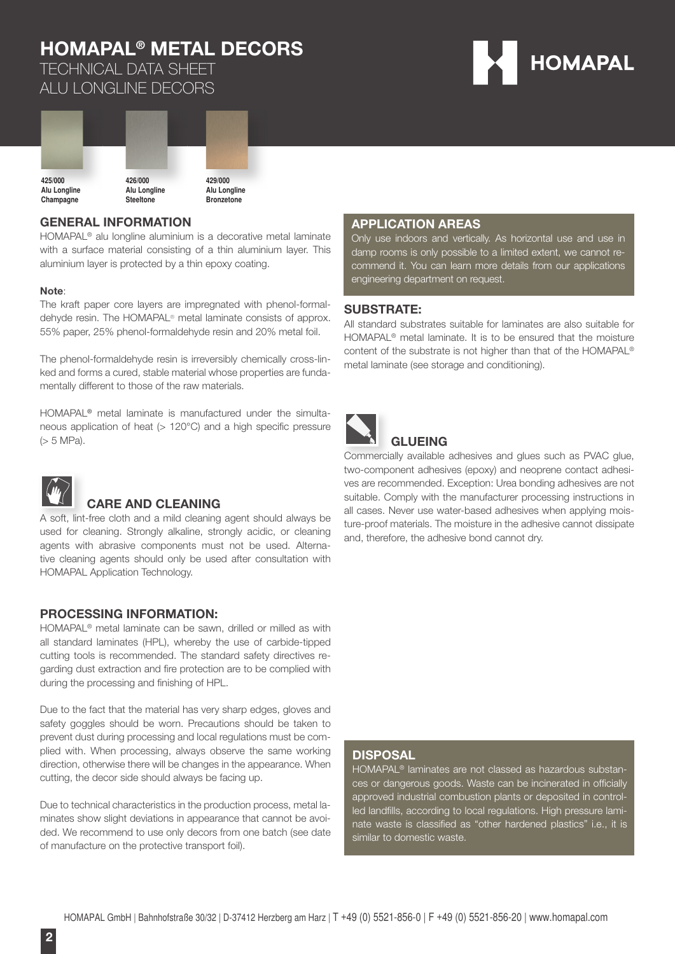TECHNICAL DATA SHEET ALU LONGLINE DECORS





#### **GENERAL INFORMATION**

HOMAPAL® alu longline aluminium is a decorative metal laminate with a surface material consisting of a thin aluminium layer. This aluminium layer is protected by a thin epoxy coating.

#### **Note**:

The kraft paper core layers are impregnated with phenol-formaldehyde resin. The HOMAPAL® metal laminate consists of approx. 55% paper, 25% phenol-formaldehyde resin and 20% metal foil.

The phenol-formaldehyde resin is irreversibly chemically cross-linked and forms a cured, stable material whose properties are fundamentally different to those of the raw materials.

HOMAPAL® metal laminate is manufactured under the simultaneous application of heat ( $> 120^{\circ}$ C) and a high specific pressure (> 5 MPa).



### **CARE AND CLEANING**

A soft, lint-free cloth and a mild cleaning agent should always be used for cleaning. Strongly alkaline, strongly acidic, or cleaning agents with abrasive components must not be used. Alternative cleaning agents should only be used after consultation with HOMAPAL Application Technology.

#### **PROCESSING INFORMATION:**

HOMAPAL® metal laminate can be sawn, drilled or milled as with all standard laminates (HPL), whereby the use of carbide-tipped cutting tools is recommended. The standard safety directives regarding dust extraction and fire protection are to be complied with during the processing and finishing of HPL.

Due to the fact that the material has very sharp edges, gloves and safety goggles should be worn. Precautions should be taken to prevent dust during processing and local regulations must be complied with. When processing, always observe the same working direction, otherwise there will be changes in the appearance. When cutting, the decor side should always be facing up.

Due to technical characteristics in the production process, metal laminates show slight deviations in appearance that cannot be avoided. We recommend to use only decors from one batch (see date of manufacture on the protective transport foil).

#### **APPLICATION AREAS**

Only use indoors and vertically. As horizontal use and use in damp rooms is only possible to a limited extent, we cannot recommend it. You can learn more details from our applications engineering department on request.

#### **SUBSTRATE:**

All standard substrates suitable for laminates are also suitable for HOMAPAL® metal laminate. It is to be ensured that the moisture content of the substrate is not higher than that of the HOMAPAL® metal laminate (see storage and conditioning).



### **GLUEING**

Commercially available adhesives and glues such as PVAC glue, two-component adhesives (epoxy) and neoprene contact adhesives are recommended. Exception: Urea bonding adhesives are not suitable. Comply with the manufacturer processing instructions in all cases. Never use water-based adhesives when applying moisture-proof materials. The moisture in the adhesive cannot dissipate and, therefore, the adhesive bond cannot dry.

#### **DISPOSAL**

HOMAPAL® laminates are not classed as hazardous substances or dangerous goods. Waste can be incinerated in officially approved industrial combustion plants or deposited in controlled landfills, according to local regulations. High pressure laminate waste is classified as "other hardened plastics" i.e., it is similar to domestic waste.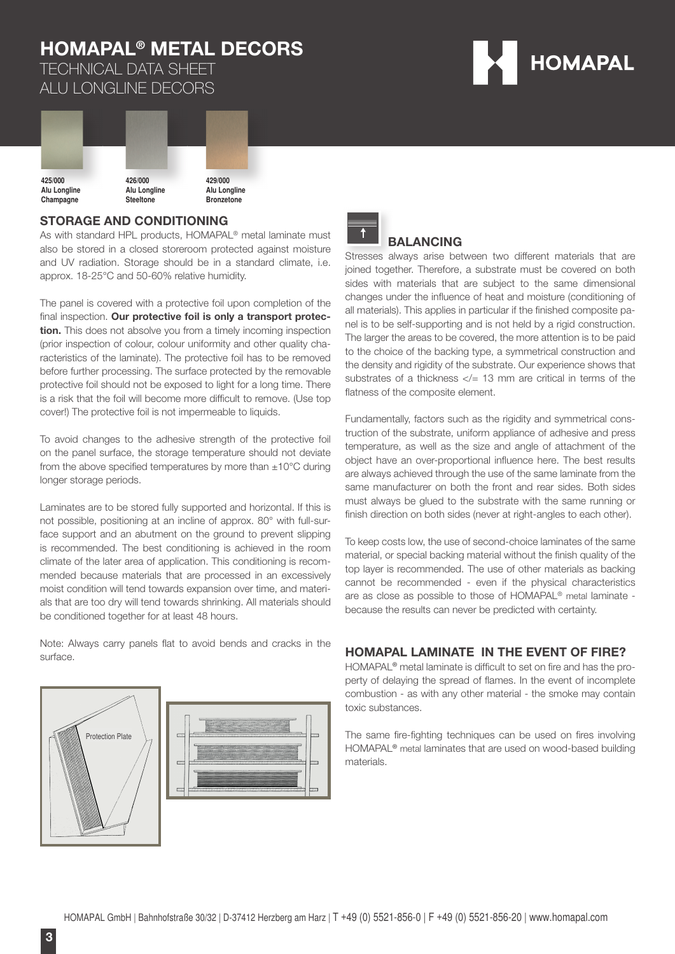

TECHNICAL DATA SHEET ALU LONGLINE DECORS



#### **STORAGE AND CONDITIONING**

As with standard HPL products, HOMAPAL<sup>®</sup> metal laminate must also be stored in a closed storeroom protected against moisture and UV radiation. Storage should be in a standard climate, i.e. approx. 18-25°C and 50-60% relative humidity.

The panel is covered with a protective foil upon completion of the final inspection. Our protective foil is only a transport protec**tion.** This does not absolve you from a timely incoming inspection (prior inspection of colour, colour uniformity and other quality characteristics of the laminate). The protective foil has to be removed before further processing. The surface protected by the removable protective foil should not be exposed to light for a long time. There is a risk that the foil will become more difficult to remove. (Use top cover!) The protective foil is not impermeable to liquids.

To avoid changes to the adhesive strength of the protective foil on the panel surface, the storage temperature should not deviate from the above specified temperatures by more than  $\pm 10^{\circ}$ C during longer storage periods.

Laminates are to be stored fully supported and horizontal. If this is not possible, positioning at an incline of approx. 80° with full-surface support and an abutment on the ground to prevent slipping is recommended. The best conditioning is achieved in the room climate of the later area of application. This conditioning is recommended because materials that are processed in an excessively moist condition will tend towards expansion over time, and materials that are too dry will tend towards shrinking. All materials should be conditioned together for at least 48 hours.

Note: Always carry panels flat to avoid bends and cracks in the surface.







#### **BALANCING**

Stresses always arise between two different materials that are joined together. Therefore, a substrate must be covered on both sides with materials that are subject to the same dimensional changes under the influence of heat and moisture (conditioning of all materials). This applies in particular if the finished composite panel is to be self-supporting and is not held by a rigid construction. The larger the areas to be covered, the more attention is to be paid to the choice of the backing type, a symmetrical construction and the density and rigidity of the substrate. Our experience shows that substrates of a thickness  $\lt/= 13$  mm are critical in terms of the flatness of the composite element.

Fundamentally, factors such as the rigidity and symmetrical construction of the substrate, uniform appliance of adhesive and press temperature, as well as the size and angle of attachment of the object have an over-proportional influence here. The best results are always achieved through the use of the same laminate from the same manufacturer on both the front and rear sides. Both sides must always be glued to the substrate with the same running or finish direction on both sides (never at right-angles to each other).

To keep costs low, the use of second-choice laminates of the same material, or special backing material without the finish quality of the top layer is recommended. The use of other materials as backing cannot be recommended - even if the physical characteristics are as close as possible to those of HOMAPAL® metal laminate because the results can never be predicted with certainty.

#### **HOMAPAL LAMINATE IN THE EVENT OF FIRE?**

HOMAPAL<sup>®</sup> metal laminate is difficult to set on fire and has the property of delaying the spread of flames. In the event of incomplete combustion - as with any other material - the smoke may contain toxic substances.

The same fire-fighting techniques can be used on fires involving HOMAPAL® metal laminates that are used on wood-based building materials.